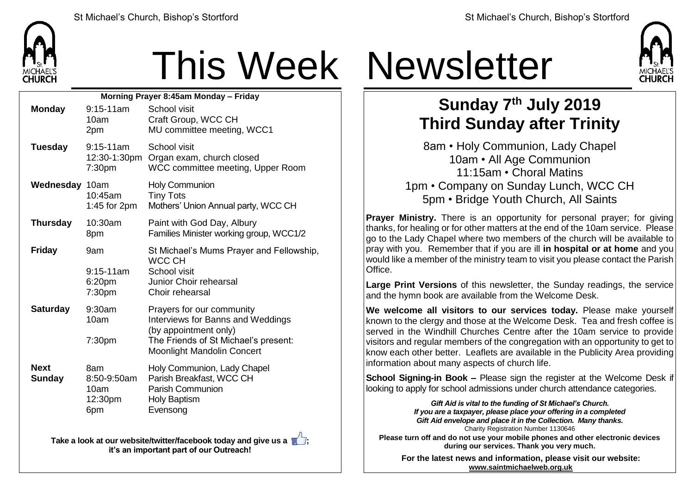

## This Week Newsletter

| Morning Prayer 8:45am Monday - Friday |                                                      |                                                                                                                                                                      |  |  |
|---------------------------------------|------------------------------------------------------|----------------------------------------------------------------------------------------------------------------------------------------------------------------------|--|--|
| <b>Monday</b>                         | $9:15-11am$<br>10am<br>2pm                           | School visit<br>Craft Group, WCC CH<br>MU committee meeting, WCC1                                                                                                    |  |  |
| <b>Tuesday</b>                        | $9:15-11am$<br>7:30 <sub>pm</sub>                    | School visit<br>12:30-1:30pm Organ exam, church closed<br>WCC committee meeting, Upper Room                                                                          |  |  |
| Wednesday 10am                        | 10:45am<br>1:45 for $2pm$                            | <b>Holy Communion</b><br><b>Tiny Tots</b><br>Mothers' Union Annual party, WCC CH                                                                                     |  |  |
| <b>Thursday</b>                       | 10:30am<br>8pm                                       | Paint with God Day, Albury<br>Families Minister working group, WCC1/2                                                                                                |  |  |
| <b>Friday</b>                         | 9am<br>$9:15 - 11am$<br>6:20pm<br>7:30 <sub>pm</sub> | St Michael's Mums Prayer and Fellowship,<br><b>WCC CH</b><br>School visit<br>Junior Choir rehearsal<br>Choir rehearsal                                               |  |  |
| <b>Saturday</b>                       | 9:30am<br>10am<br>7:30pm                             | Prayers for our community<br>Interviews for Banns and Weddings<br>(by appointment only)<br>The Friends of St Michael's present:<br><b>Moonlight Mandolin Concert</b> |  |  |
| <b>Next</b><br><b>Sunday</b>          | 8am<br>8:50-9:50am<br>10am<br>12:30pm<br>6pm         | Holy Communion, Lady Chapel<br>Parish Breakfast, WCC CH<br><b>Parish Communion</b><br><b>Holy Baptism</b><br>Evensong                                                |  |  |

**Take a look at our website/twitter/facebook today and give us a**  $\blacksquare$ **: it's an important part of our Outreach!**



## **Sunday 7 th July 2019 Third Sunday after Trinity**

8am • Holy Communion, Lady Chapel 10am • All Age Communion 11:15am • Choral Matins 1pm • Company on Sunday Lunch, WCC CH 5pm • Bridge Youth Church, All Saints

**Prayer Ministry.** There is an opportunity for personal prayer; for giving thanks, for healing or for other matters at the end of the 10am service. Please go to the Lady Chapel where two members of the church will be available to pray with you. Remember that if you are ill **in hospital or at home** and you would like a member of the ministry team to visit you please contact the Parish Office.

**Large Print Versions** of this newsletter, the Sunday readings, the service and the hymn book are available from the Welcome Desk.

**We welcome all visitors to our services today.** Please make yourself known to the clergy and those at the Welcome Desk. Tea and fresh coffee is served in the Windhill Churches Centre after the 10am service to provide visitors and regular members of the congregation with an opportunity to get to know each other better. Leaflets are available in the Publicity Area providing information about many aspects of church life.

**School Signing-in Book –** Please sign the register at the Welcome Desk if looking to apply for school admissions under church attendance categories.

> *Gift Aid is vital to the funding of St Michael's Church. If you are a taxpayer, please place your offering in a completed Gift Aid envelope and place it in the Collection. Many thanks.* Charity Registration Number 1130646

**Please turn off and do not use your mobile phones and other electronic devices during our services. Thank you very much.**

**For the latest news and information, please visit our website: [www.saintmichaelweb.org.uk](http://www.saintmichaelweb.org.uk/)**